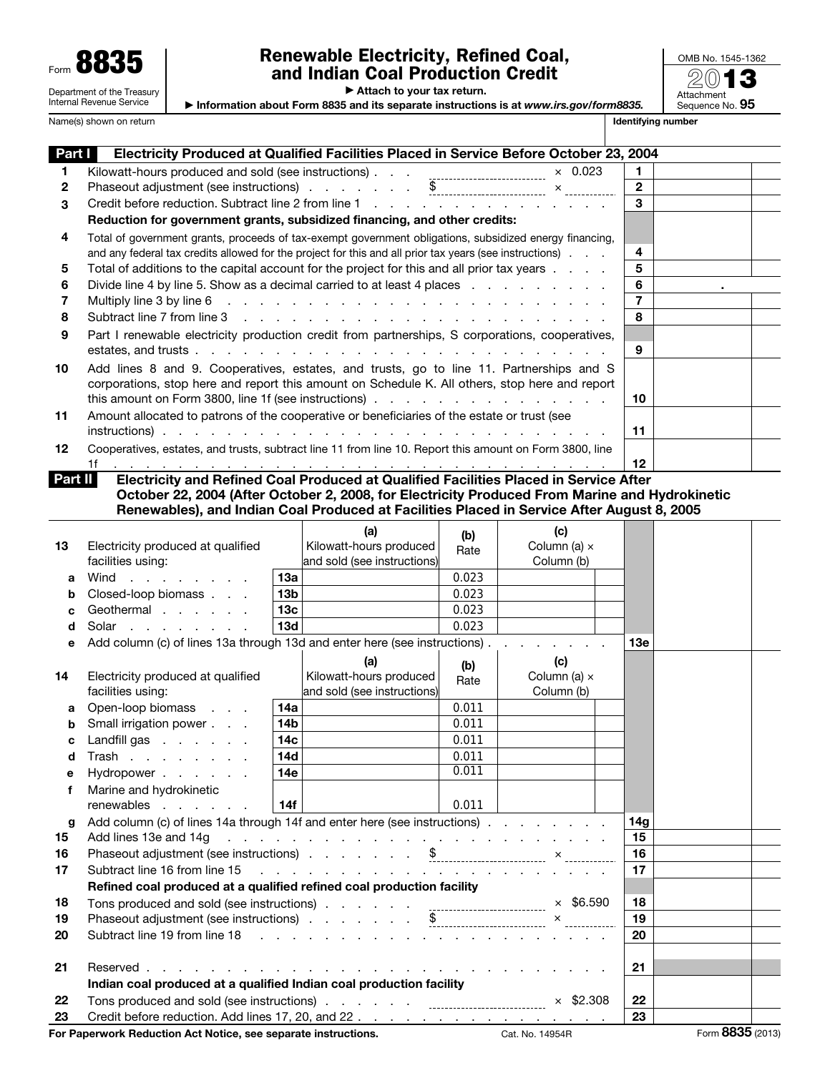| Form | œ<br>-0                                                |
|------|--------------------------------------------------------|
|      | Department of the Treasury<br>Internal Revenue Service |

## Renewable Electricity, Refined Coal, and Indian Coal Production Credit

▶ Attach to your tax return.

▶ Information about Form 8835 and its separate instructions is at *www.irs.gov/form8835.*

20 Attachment<br>Sequence No. **95** 

OMB No. 1545-1362

|         | Name(s) shown on return                                                                                                                                                                                                        |                 |                                                                                     |             |                            |                | <b>Identifying number</b> |  |
|---------|--------------------------------------------------------------------------------------------------------------------------------------------------------------------------------------------------------------------------------|-----------------|-------------------------------------------------------------------------------------|-------------|----------------------------|----------------|---------------------------|--|
| Part I  | Electricity Produced at Qualified Facilities Placed in Service Before October 23, 2004                                                                                                                                         |                 |                                                                                     |             |                            |                |                           |  |
| 1       |                                                                                                                                                                                                                                |                 |                                                                                     |             |                            | 1.             |                           |  |
| 2       |                                                                                                                                                                                                                                |                 |                                                                                     |             |                            | $\mathbf{2}$   |                           |  |
| 3       | Credit before reduction. Subtract line 2 from line 1 and a contract unit of the 2 from line 1                                                                                                                                  |                 |                                                                                     |             |                            | 3              |                           |  |
|         | Reduction for government grants, subsidized financing, and other credits:                                                                                                                                                      |                 |                                                                                     |             |                            |                |                           |  |
| 4       | Total of government grants, proceeds of tax-exempt government obligations, subsidized energy financing,                                                                                                                        |                 |                                                                                     |             |                            |                |                           |  |
|         | and any federal tax credits allowed for the project for this and all prior tax years (see instructions).                                                                                                                       |                 |                                                                                     |             |                            | 4              |                           |  |
| 5       | Total of additions to the capital account for the project for this and all prior tax years                                                                                                                                     |                 |                                                                                     |             |                            | 5              |                           |  |
| 6       | Divide line 4 by line 5. Show as a decimal carried to at least 4 places                                                                                                                                                        |                 |                                                                                     |             |                            | 6              |                           |  |
| 7       |                                                                                                                                                                                                                                |                 |                                                                                     |             |                            | $\overline{7}$ |                           |  |
| 8       |                                                                                                                                                                                                                                |                 |                                                                                     |             |                            | 8              |                           |  |
| 9       | Part I renewable electricity production credit from partnerships, S corporations, cooperatives,                                                                                                                                |                 |                                                                                     |             |                            | 9              |                           |  |
| 10      | Add lines 8 and 9. Cooperatives, estates, and trusts, go to line 11. Partnerships and S<br>corporations, stop here and report this amount on Schedule K. All others, stop here and report                                      |                 |                                                                                     |             |                            |                |                           |  |
| 11      | Amount allocated to patrons of the cooperative or beneficiaries of the estate or trust (see                                                                                                                                    |                 |                                                                                     |             |                            |                |                           |  |
|         |                                                                                                                                                                                                                                |                 |                                                                                     |             |                            | 11             |                           |  |
| 12      | Cooperatives, estates, and trusts, subtract line 11 from line 10. Report this amount on Form 3800, line<br>1f                                                                                                                  |                 |                                                                                     |             |                            | 12             |                           |  |
| Part II | Electricity and Refined Coal Produced at Qualified Facilities Placed in Service After                                                                                                                                          |                 |                                                                                     |             |                            |                |                           |  |
|         | October 22, 2004 (After October 2, 2008, for Electricity Produced From Marine and Hydrokinetic                                                                                                                                 |                 |                                                                                     |             |                            |                |                           |  |
|         | Renewables), and Indian Coal Produced at Facilities Placed in Service After August 8, 2005                                                                                                                                     |                 |                                                                                     |             |                            |                |                           |  |
|         |                                                                                                                                                                                                                                |                 | (a)                                                                                 | (b)         | (c)                        |                |                           |  |
| 13      | Electricity produced at qualified<br>facilities using:                                                                                                                                                                         |                 | Kilowatt-hours produced<br>and sold (see instructions)                              | Rate        | Column (a) x<br>Column (b) |                |                           |  |
| a       | Wind                                                                                                                                                                                                                           | 13a             |                                                                                     | 0.023       |                            |                |                           |  |
| b       | Closed-loop biomass                                                                                                                                                                                                            | 13 <sub>b</sub> |                                                                                     | 0.023       |                            |                |                           |  |
| c       | Geothermal                                                                                                                                                                                                                     | 13 <sub>c</sub> |                                                                                     | 0.023       |                            |                |                           |  |
| d       | Solar                                                                                                                                                                                                                          | 13d             |                                                                                     | 0.023       |                            |                |                           |  |
| е       | Add column (c) of lines 13a through 13d and enter here (see instructions)                                                                                                                                                      |                 |                                                                                     |             |                            | 13e            |                           |  |
|         |                                                                                                                                                                                                                                |                 | (a)                                                                                 |             | (c)                        |                |                           |  |
| 14      | Electricity produced at qualified                                                                                                                                                                                              |                 | Kilowatt-hours produced                                                             | (b)<br>Rate | Column (a) x               |                |                           |  |
|         | facilities using:                                                                                                                                                                                                              |                 | and sold (see instructions)                                                         |             | Column (b)                 |                |                           |  |
| a       | Open-loop biomass                                                                                                                                                                                                              | 14a             |                                                                                     | 0.011       |                            |                |                           |  |
| h.      | Small irrigation power                                                                                                                                                                                                         | 14 <sub>b</sub> |                                                                                     | 0.011       |                            |                |                           |  |
| с       | Landfill gas                                                                                                                                                                                                                   | 14 <sub>c</sub> |                                                                                     | 0.011       |                            |                |                           |  |
| d       | Trash                                                                                                                                                                                                                          | <b>14d</b>      |                                                                                     | 0.011       |                            |                |                           |  |
| е       | Hydropower                                                                                                                                                                                                                     | 14e             |                                                                                     | 0.011       |                            |                |                           |  |
| f       | Marine and hydrokinetic<br>renewables                                                                                                                                                                                          | 14f             |                                                                                     | 0.011       |                            |                |                           |  |
| g       | Add column (c) of lines 14a through 14f and enter here (see instructions)                                                                                                                                                      |                 |                                                                                     |             |                            | 14g            |                           |  |
| 15      | Add lines 13e and 14g                                                                                                                                                                                                          |                 | and the contract of the contract of the contract of the contract of the contract of |             |                            | 15             |                           |  |
| 16      |                                                                                                                                                                                                                                |                 |                                                                                     |             |                            | 16             |                           |  |
| 17      | Subtract line 16 from line 15                                                                                                                                                                                                  |                 |                                                                                     |             |                            | 17             |                           |  |
|         | Refined coal produced at a qualified refined coal production facility                                                                                                                                                          |                 |                                                                                     |             |                            |                |                           |  |
| 18      |                                                                                                                                                                                                                                |                 |                                                                                     |             |                            |                |                           |  |
| 19      | Tons produced and sold (see instructions) \$6.590<br>Phaseout adjustment (see instructions) \$                                                                                                                                 |                 |                                                                                     |             | 18<br>19                   |                |                           |  |
| 20      | Subtract line 19 from line 18 (a) and a set of the set of the set of the set of the set of the set of the set of the set of the set of the set of the set of the set of the set of the set of the set of the set of the set of |                 |                                                                                     |             |                            | 20             |                           |  |
|         |                                                                                                                                                                                                                                |                 |                                                                                     |             |                            |                |                           |  |
| 21      |                                                                                                                                                                                                                                |                 |                                                                                     |             |                            | 21             |                           |  |
|         | Indian coal produced at a qualified Indian coal production facility                                                                                                                                                            |                 |                                                                                     |             |                            |                |                           |  |
| 22      |                                                                                                                                                                                                                                |                 |                                                                                     |             | $\times$ \$2.308           | 22             |                           |  |

23 Credit before reduction. Add lines 17, 20, and  $22.$  . . . . . . . . . . . . . . . . . 23 For Paperwork Reduction Act Notice, see separate instructions. Cat. No. 14954R Form 8835 (2013)